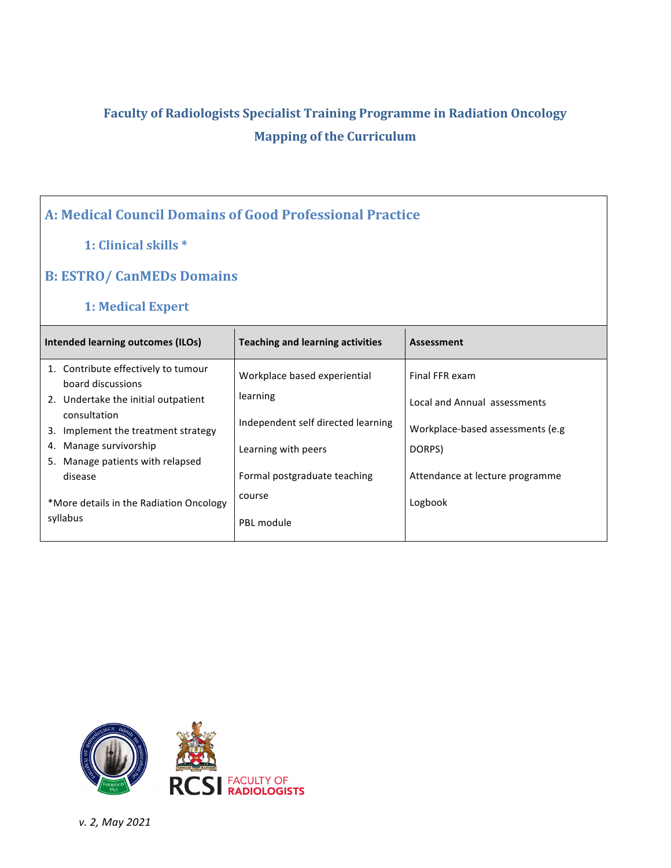# **Faculty of Radiologists Specialist Training Programme in Radiation Oncology Mapping of the Curriculum**

## **A: Medical Council Domains of Good Professional Practice**

#### **1: Clinical skills \***

#### **B: ESTRO/ CanMEDs Domains**

#### **1: Medical Expert**

| Intended learning outcomes (ILOs)                                                                                                                                                   | <b>Teaching and learning activities</b>                                        | <b>Assessment</b>                                                                   |
|-------------------------------------------------------------------------------------------------------------------------------------------------------------------------------------|--------------------------------------------------------------------------------|-------------------------------------------------------------------------------------|
| 1. Contribute effectively to tumour<br>board discussions<br>2. Undertake the initial outpatient<br>consultation<br>3. Implement the treatment strategy<br>Manage survivorship<br>4. | Workplace based experiential<br>learning<br>Independent self directed learning | Final FFR exam<br>Local and Annual assessments<br>Workplace-based assessments (e.g. |
| 5. Manage patients with relapsed<br>disease                                                                                                                                         | Learning with peers<br>Formal postgraduate teaching                            | DORPS)<br>Attendance at lecture programme                                           |
| *More details in the Radiation Oncology<br>syllabus                                                                                                                                 | course<br>PBL module                                                           | Logbook                                                                             |

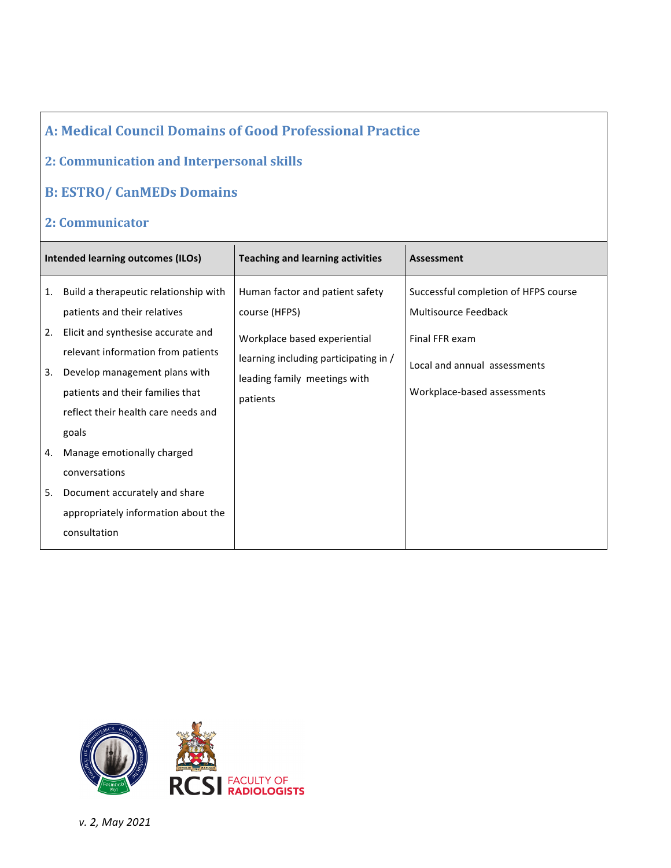#### **2: Communication and Interpersonal skills**

### **B: ESTRO/ CanMEDs Domains**

#### **2: Communicator**

| <b>Intended learning outcomes (ILOs)</b> |                                                                                                                                                                                                                                                                        | <b>Teaching and learning activities</b>                                                                                                                               | Assessment                                                                                                                                    |
|------------------------------------------|------------------------------------------------------------------------------------------------------------------------------------------------------------------------------------------------------------------------------------------------------------------------|-----------------------------------------------------------------------------------------------------------------------------------------------------------------------|-----------------------------------------------------------------------------------------------------------------------------------------------|
| 1.<br>2.<br>3.                           | Build a therapeutic relationship with<br>patients and their relatives<br>Elicit and synthesise accurate and<br>relevant information from patients<br>Develop management plans with<br>patients and their families that<br>reflect their health care needs and<br>goals | Human factor and patient safety<br>course (HFPS)<br>Workplace based experiential<br>learning including participating in /<br>leading family meetings with<br>patients | Successful completion of HFPS course<br>Multisource Feedback<br>Final FFR exam<br>Local and annual assessments<br>Workplace-based assessments |
| 4.<br>5.                                 | Manage emotionally charged<br>conversations<br>Document accurately and share<br>appropriately information about the<br>consultation                                                                                                                                    |                                                                                                                                                                       |                                                                                                                                               |

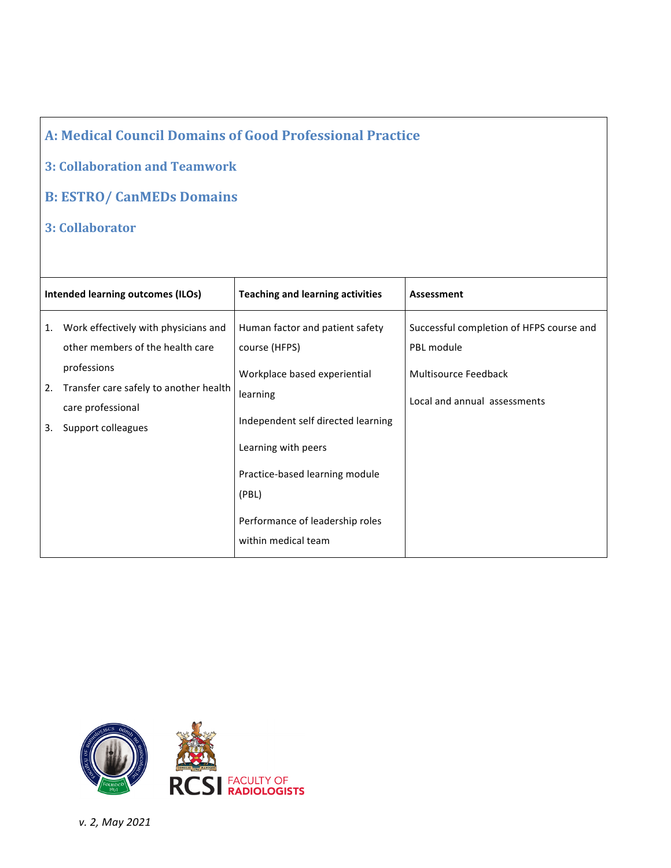#### **3: Collaboration and Teamwork**

# **B: ESTRO/ CanMEDs Domains**

**3: Collaborator**

|          | <b>Intended learning outcomes (ILOs)</b>                                                         | <b>Teaching and learning activities</b>                                                               | Assessment                                             |
|----------|--------------------------------------------------------------------------------------------------|-------------------------------------------------------------------------------------------------------|--------------------------------------------------------|
| 1.       | Work effectively with physicians and<br>other members of the health care                         | Human factor and patient safety<br>course (HFPS)                                                      | Successful completion of HFPS course and<br>PBL module |
| 2.<br>3. | professions<br>Transfer care safely to another health<br>care professional<br>Support colleagues | Workplace based experiential<br>learning<br>Independent self directed learning<br>Learning with peers | Multisource Feedback<br>Local and annual assessments   |
|          |                                                                                                  | Practice-based learning module<br>(PBL)<br>Performance of leadership roles<br>within medical team     |                                                        |

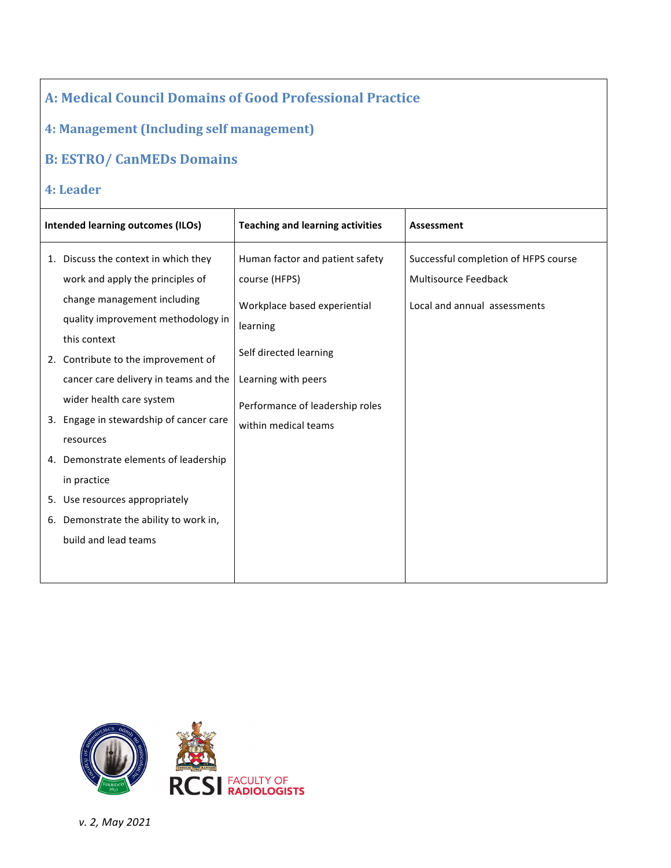**4: Management (Including self management)** 

### **B: ESTRO/ CanMEDs Domains**

#### **4: Leader**

| Intended learning outcomes (ILOs) |                                                                                                          | <b>Teaching and learning activities</b>                                          | <b>Assessment</b>                                                   |
|-----------------------------------|----------------------------------------------------------------------------------------------------------|----------------------------------------------------------------------------------|---------------------------------------------------------------------|
| 1.                                | Discuss the context in which they<br>work and apply the principles of                                    | Human factor and patient safety<br>course (HFPS)                                 | Successful completion of HFPS course<br><b>Multisource Feedback</b> |
|                                   | change management including<br>quality improvement methodology in<br>this context                        | Workplace based experiential<br>learning                                         | Local and annual assessments                                        |
|                                   | 2. Contribute to the improvement of<br>cancer care delivery in teams and the<br>wider health care system | Self directed learning<br>Learning with peers<br>Performance of leadership roles |                                                                     |
|                                   | 3. Engage in stewardship of cancer care<br>resources                                                     | within medical teams                                                             |                                                                     |
|                                   | 4. Demonstrate elements of leadership<br>in practice<br>5. Use resources appropriately                   |                                                                                  |                                                                     |
|                                   | 6. Demonstrate the ability to work in,<br>build and lead teams                                           |                                                                                  |                                                                     |

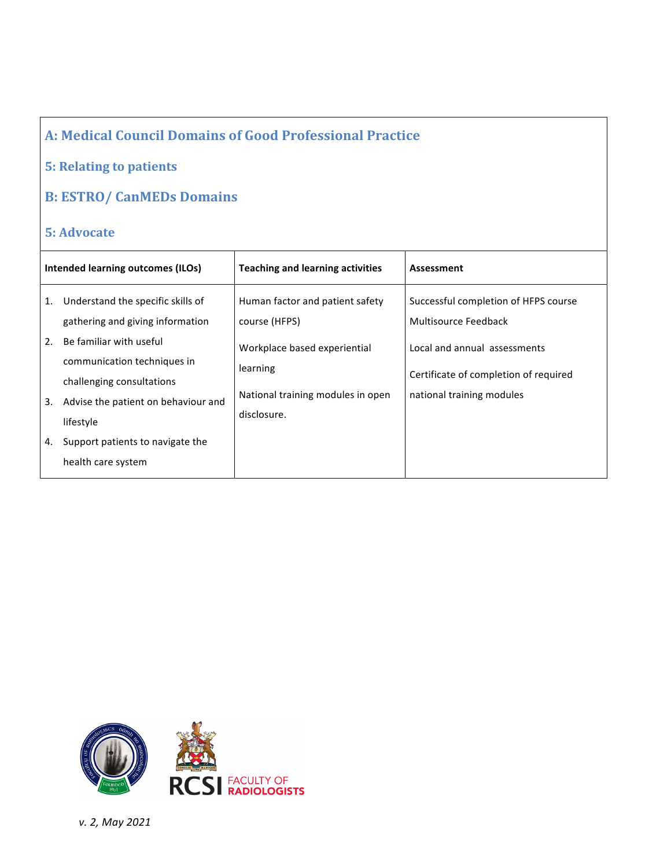### **5: Relating to patients**

# **B: ESTRO/ CanMEDs Domains**

### **5:** Advocate

| Intended learning outcomes (ILOs) |                                                                                                                                                                                                     | <b>Teaching and learning activities</b>                                                                                           | Assessment                                                                                                                                                         |
|-----------------------------------|-----------------------------------------------------------------------------------------------------------------------------------------------------------------------------------------------------|-----------------------------------------------------------------------------------------------------------------------------------|--------------------------------------------------------------------------------------------------------------------------------------------------------------------|
| 1.<br>2.<br>3.                    | Understand the specific skills of<br>gathering and giving information<br>Be familiar with useful<br>communication techniques in<br>challenging consultations<br>Advise the patient on behaviour and | Human factor and patient safety<br>course (HFPS)<br>Workplace based experiential<br>learning<br>National training modules in open | Successful completion of HFPS course<br>Multisource Feedback<br>Local and annual assessments<br>Certificate of completion of required<br>national training modules |
| 4.                                | lifestyle<br>Support patients to navigate the<br>health care system                                                                                                                                 | disclosure.                                                                                                                       |                                                                                                                                                                    |

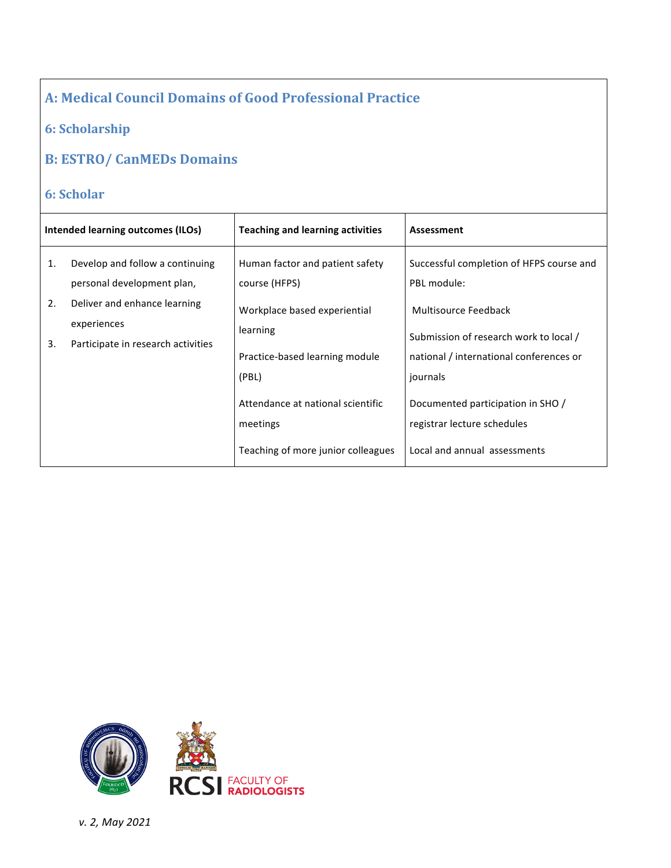### **6: Scholarship**

## **B: ESTRO/ CanMEDs Domains**

### **6: Scholar**

| Intended learning outcomes (ILOs) |                                                                                   | <b>Teaching and learning activities</b>                                             | Assessment                                                                                                            |
|-----------------------------------|-----------------------------------------------------------------------------------|-------------------------------------------------------------------------------------|-----------------------------------------------------------------------------------------------------------------------|
| 1.                                | Develop and follow a continuing<br>personal development plan,                     | Human factor and patient safety<br>course (HFPS)                                    | Successful completion of HFPS course and<br>PBL module:                                                               |
| 2.<br>3.                          | Deliver and enhance learning<br>experiences<br>Participate in research activities | Workplace based experiential<br>learning<br>Practice-based learning module<br>(PBL) | Multisource Feedback<br>Submission of research work to local /<br>national / international conferences or<br>journals |
|                                   |                                                                                   | Attendance at national scientific<br>meetings<br>Teaching of more junior colleagues | Documented participation in SHO /<br>registrar lecture schedules<br>Local and annual assessments                      |

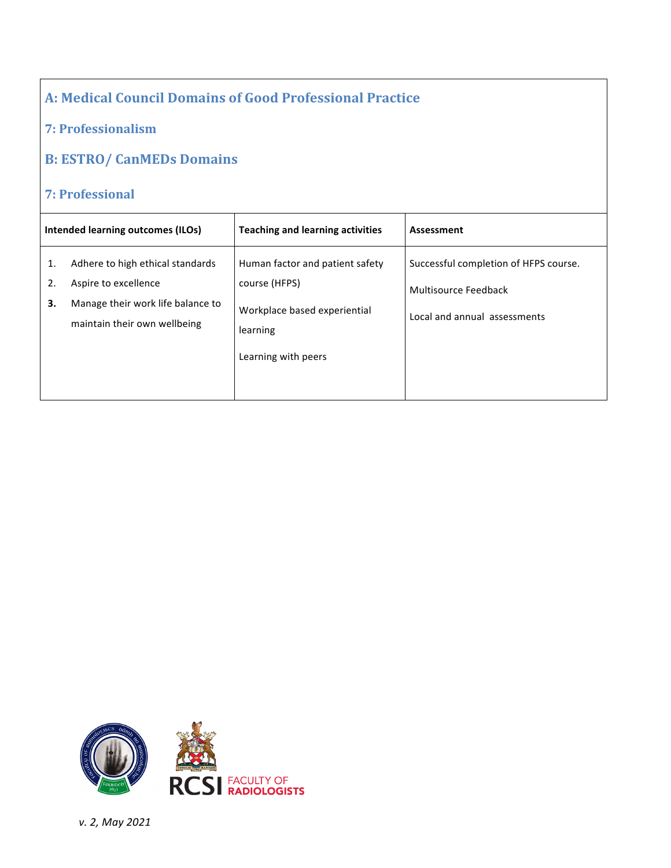#### **7: Professionalism**

#### **B: ESTRO/ CanMEDs Domains**

#### **7: Professional**

| Intended learning outcomes (ILOs) |                                                                                                                               | <b>Teaching and learning activities</b>                                                                             | Assessment                                                                                    |
|-----------------------------------|-------------------------------------------------------------------------------------------------------------------------------|---------------------------------------------------------------------------------------------------------------------|-----------------------------------------------------------------------------------------------|
| 1.<br>2.<br>3.                    | Adhere to high ethical standards<br>Aspire to excellence<br>Manage their work life balance to<br>maintain their own wellbeing | Human factor and patient safety<br>course (HFPS)<br>Workplace based experiential<br>learning<br>Learning with peers | Successful completion of HFPS course.<br>Multisource Feedback<br>Local and annual assessments |